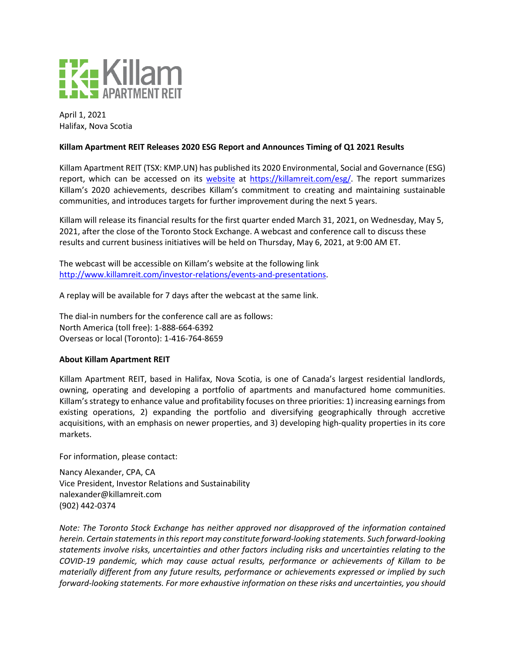

April 1, 2021 Halifax, Nova Scotia

## **Killam Apartment REIT Releases 2020 ESG Report and Announces Timing of Q1 2021 Results**

Killam Apartment REIT (TSX: KMP.UN) has published its 2020 Environmental, Social and Governance (ESG) report, which can be accessed on its [website](https://killamreit.com/sites/default/files/Financial%20Reports/ESG%20Report%202020%20Final.pdf) at [https://killamreit.com/esg/.](https://killamreit.com/esg/) The report summarizes Killam's 2020 achievements, describes Killam's commitment to creating and maintaining sustainable communities, and introduces targets for further improvement during the next 5 years.

Killam will release its financial results for the first quarter ended March 31, 2021, on Wednesday, May 5, 2021, after the close of the Toronto Stock Exchange. A webcast and conference call to discuss these results and current business initiatives will be held on Thursday, May 6, 2021, at 9:00 AM ET.

The webcast will be accessible on Killam's website at the following link [http://www.killamreit.com/investor-relations/events-and-presentations.](http://www.killamreit.com/investor-relations/events-and-presentations)

A replay will be available for 7 days after the webcast at the same link.

The dial-in numbers for the conference call are as follows: North America (toll free): 1-888-664-6392 Overseas or local (Toronto): 1-416-764-8659

## **About Killam Apartment REIT**

Killam Apartment REIT, based in Halifax, Nova Scotia, is one of Canada's largest residential landlords, owning, operating and developing a portfolio of apartments and manufactured home communities. Killam's strategy to enhance value and profitability focuses on three priorities: 1) increasing earnings from existing operations, 2) expanding the portfolio and diversifying geographically through accretive acquisitions, with an emphasis on newer properties, and 3) developing high-quality properties in its core markets.

For information, please contact:

Nancy Alexander, CPA, CA Vice President, Investor Relations and Sustainability nalexander@killamreit.com (902) 442-0374

*Note: The Toronto Stock Exchange has neither approved nor disapproved of the information contained herein. Certain statements in this report may constitute forward-looking statements. Such forward-looking statements involve risks, uncertainties and other factors including risks and uncertainties relating to the COVID-19 pandemic, which may cause actual results, performance or achievements of Killam to be materially different from any future results, performance or achievements expressed or implied by such forward-looking statements. For more exhaustive information on these risks and uncertainties, you should*